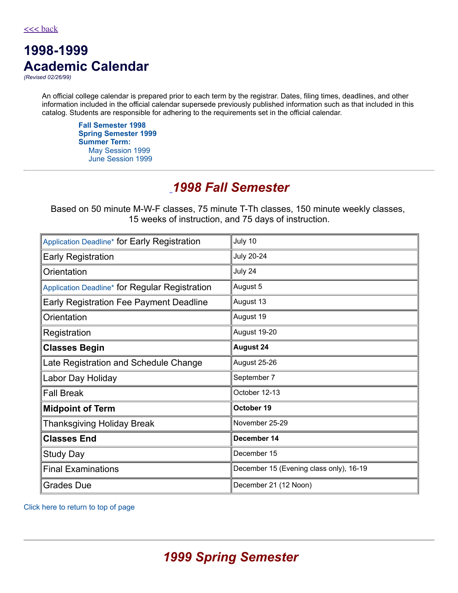# **1998-1999 Academic Calendar**

*(Revised 02/26/99)*

An official college calendar is prepared prior to each term by the registrar. Dates, filing times, deadlines, and other information included in the official calendar supersede previously published information such as that included in this catalog. Students are responsible for adhering to the requirements set in the official calendar.

**Fall [Semester](#page-0-0) 1998 Spring [Semester](#page-0-1) 1999 [Summer](#page-1-0) Term:** May [Session](#page-1-1) 1999 June [Session](#page-2-0) 1999

### <span id="page-0-0"></span>*[1](#page-0-0)998 Fall Semester*

Based on 50 minute M-W-F classes, 75 minute T-Th classes, 150 minute weekly classes, 15 weeks of instruction, and 75 days of instruction.

| Application Deadline* for Early Registration   | July 10                                 |
|------------------------------------------------|-----------------------------------------|
| <b>Early Registration</b>                      | <b>July 20-24</b>                       |
| Orientation                                    | July 24                                 |
| Application Deadline* for Regular Registration | August 5                                |
| Early Registration Fee Payment Deadline        | August 13                               |
| Orientation                                    | August 19                               |
| Registration                                   | August 19-20                            |
| <b>Classes Begin</b>                           | <b>August 24</b>                        |
| Late Registration and Schedule Change          | August 25-26                            |
| Labor Day Holiday                              | September 7                             |
| <b>Fall Break</b>                              | October 12-13                           |
| <b>Midpoint of Term</b>                        | October 19                              |
| Thanksgiving Holiday Break                     | November 25-29                          |
| <b>Classes End</b>                             | December 14                             |
| <b>Study Day</b>                               | December 15                             |
| <b>Final Examinations</b>                      | December 15 (Evening class only), 16-19 |
| Grades Due                                     | December 21 (12 Noon)                   |

<span id="page-0-1"></span>Click here to return to top of page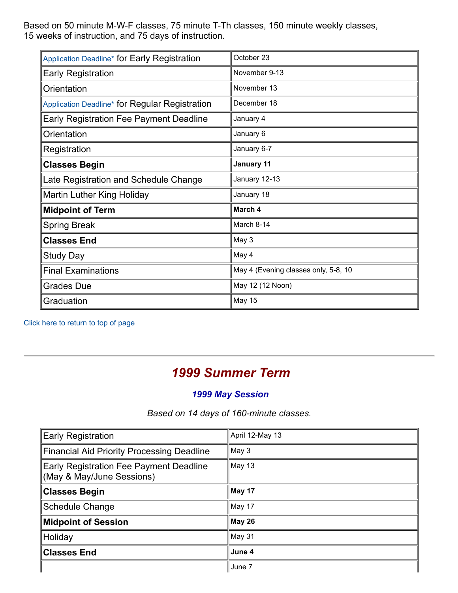Based on 50 minute M-W-F classes, 75 minute T-Th classes, 150 minute weekly classes, 15 weeks of instruction, and 75 days of instruction.

| Application Deadline* for Early Registration   | October 23                           |
|------------------------------------------------|--------------------------------------|
| <b>Early Registration</b>                      | November 9-13                        |
| Orientation                                    | November 13                          |
| Application Deadline* for Regular Registration | December 18                          |
| Early Registration Fee Payment Deadline        | January 4                            |
| Orientation                                    | January 6                            |
| Registration                                   | January 6-7                          |
| <b>Classes Begin</b>                           | January 11                           |
| Late Registration and Schedule Change          | January 12-13                        |
| Martin Luther King Holiday                     | January 18                           |
| <b>Midpoint of Term</b>                        | March 4                              |
| <b>Spring Break</b>                            | March 8-14                           |
| <b>Classes End</b>                             | May 3                                |
| <b>Study Day</b>                               | May 4                                |
| <b>Final Examinations</b>                      | May 4 (Evening classes only, 5-8, 10 |
| <b>Grades Due</b>                              | May 12 (12 Noon)                     |
| Graduation                                     | May 15                               |

Click here to return to top of page

## <span id="page-1-0"></span>*1999 Summer Term*

#### <span id="page-1-1"></span>*1999 May Session*

*Based on 14 days of 160-minute classes.*

| <b>Early Registration</b>                                            | April 12-May 13 |
|----------------------------------------------------------------------|-----------------|
| <b>Financial Aid Priority Processing Deadline</b>                    | May 3           |
| Early Registration Fee Payment Deadline<br>(May & May/June Sessions) | May 13          |
| <b>Classes Begin</b>                                                 | May 17          |
| <b>Schedule Change</b>                                               | May 17          |
| <b>Midpoint of Session</b>                                           | May 26          |
| Holiday                                                              | May 31          |
| <b>Classes End</b>                                                   | June 4          |
|                                                                      | June 7          |